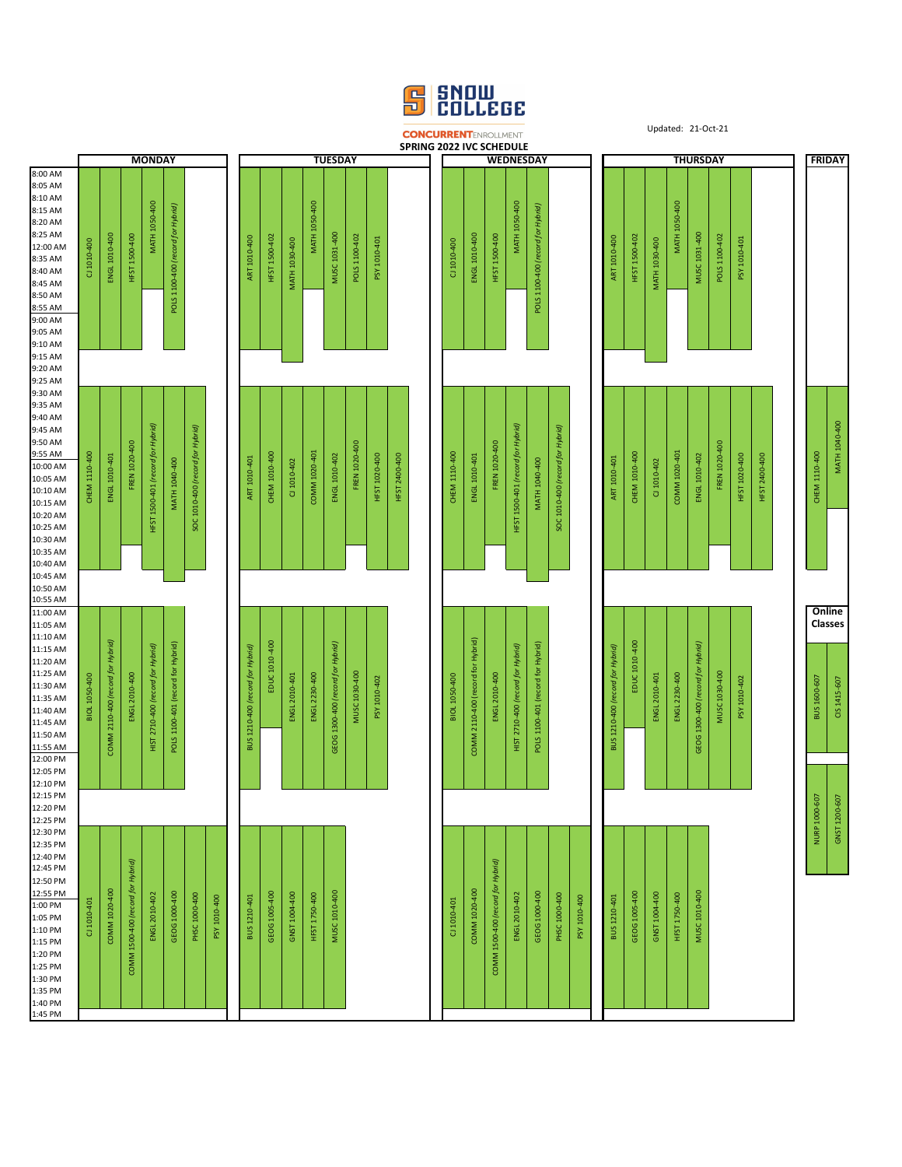

Updated: 21-Oct-21

|                                                                                                                                                                                                                        |               |                                   |                                   |                                   |                                   |                                  |              |                                  |               |               |               |                                   |               |                  | <b>CONCURRENTENROLLMENT</b><br>SPRING 2022 IVC SCHEDULE |                      |                                   |                                   |                                   |                                   |                                  |              |                                  |                            |               |                      |                                   | Updated: 21-Oct-21 |               |               |                                   |                      |
|------------------------------------------------------------------------------------------------------------------------------------------------------------------------------------------------------------------------|---------------|-----------------------------------|-----------------------------------|-----------------------------------|-----------------------------------|----------------------------------|--------------|----------------------------------|---------------|---------------|---------------|-----------------------------------|---------------|------------------|---------------------------------------------------------|----------------------|-----------------------------------|-----------------------------------|-----------------------------------|-----------------------------------|----------------------------------|--------------|----------------------------------|----------------------------|---------------|----------------------|-----------------------------------|--------------------|---------------|---------------|-----------------------------------|----------------------|
| <b>MONDAY</b>                                                                                                                                                                                                          |               |                                   |                                   |                                   |                                   | <b>TUESDAY</b>                   |              |                                  |               |               |               |                                   |               | <b>WEDNESDAY</b> |                                                         |                      |                                   |                                   | <b>THURSDAY</b>                   |                                   |                                  |              |                                  |                            |               | <b>FRIDAY</b>        |                                   |                    |               |               |                                   |                      |
| 8:00 AM<br>8:05 AM<br>8:10 AM<br>8:15 AM<br>8:20 AM<br>8:25 AM<br>12:00 AM<br>8:35 AM<br>8:40 AM<br>8:45 AM<br>8:50 AM<br>8:55 AM<br>9:00 AM<br>9:05 AM<br>9:10 AM<br>9:15 AM                                          | CJ 1010-400   | ENGL 1010-400                     | HFST 1500-400                     | <b>MATH 1050-400</b>              | POLS 1100-400 (record for Hybrid) |                                  |              | ART 1010-400                     | HFST 1500-402 | MATH 1030-400 | MATH 1050-400 | MUSC 1031-400                     | POLS 1100-402 | PSY 1010-401     |                                                         | CI 1010-400          | ENGL 1010-400                     | <b>HFST 1500-400</b>              | MATH 1050-400                     | POLS 1100-400 (record for Hybrid) |                                  |              | ART 1010-400                     | HFST 1500-402              | MATH 1030-400 | <b>MATH 1050-400</b> | MUSC 1031-400                     | POLS 1100-402      | PSY 1010-401  |               |                                   |                      |
| 9:20 AM                                                                                                                                                                                                                |               |                                   |                                   |                                   |                                   |                                  |              |                                  |               |               |               |                                   |               |                  |                                                         |                      |                                   |                                   |                                   |                                   |                                  |              |                                  |                            |               |                      |                                   |                    |               |               |                                   |                      |
| 9:25 AM<br>9:30 AM<br>9:35 AM<br>9:40 AM<br>9:45 AM<br>9:50 AM<br>9:55 AM<br>10:00 AM<br>10:05 AM<br>10:10 AM<br>10:15 AM<br>10:20 AM<br>10:25 AM<br>10:30 AM<br>10:35 AM                                              | CHEM 1110-400 | ENGL 1010-401                     | FREN 1020-400                     | HFST 1500-401 (record for Hybrid) | <b>MATH 1040-400</b>              | SOC 1010-400 (record for Hybrid) |              | ART 1010-401                     | CHEM 1010-400 | CJ 1010-402   | COMM 1020-401 | ENGL 1010-402                     | FREN 1020-400 | HFST 1020-400    | HFST 2400-400                                           | <b>CHEM 1110-400</b> | ENGL 1010-401                     | FREN 1020-400                     | HFST 1500-401 (record for Hybrid) | MATH 1040-400                     | SOC 1010-400 (record for Hybrid) |              | ART 1010-401                     | <b>CHEM 1010-400</b>       | CJ 1010-402   | COMM 1020-401        | ENGL 1010-402                     | FREN 1020-400      | HFST 1020-400 | HFST 2400-400 | <b>CHEM 1110-400</b>              | <b>MATH 1040-400</b> |
| 10:40 AM<br>10:45 AM                                                                                                                                                                                                   |               |                                   |                                   |                                   |                                   |                                  |              |                                  |               |               |               |                                   |               |                  |                                                         |                      |                                   |                                   |                                   |                                   |                                  |              |                                  |                            |               |                      |                                   |                    |               |               |                                   |                      |
| 10:50 AM<br>10:55 AM                                                                                                                                                                                                   |               |                                   |                                   |                                   |                                   |                                  |              |                                  |               |               |               |                                   |               |                  |                                                         |                      |                                   |                                   |                                   |                                   |                                  |              |                                  |                            |               |                      |                                   |                    |               |               |                                   |                      |
| 11:00 AM<br>11:05 AM<br>11:10 AM<br>11:15 AM<br>11:20 AM<br>11:25 AM<br>11:30 AM<br>11:35 AM<br>11:40 AM<br>11:45 AM<br>11:50 AM<br>11:55 AM<br>12:00 PM<br>12:05 PM                                                   | BIOL 1050-400 | COMM 2110-400 (record for Hybrid) | ENGL 2010-400                     | HIST 2710-400 (record for Hybrid) | POLS 1100-401 (record for Hybrid) |                                  |              | BUS 1210-400 (record for Hybrid) | EDUC 1010-400 | ENGL 2010-401 | ENGL 2230-400 | GEOG 1300-400 (record for Hybrid) | MUSC 1030-400 | PSY 1010-402     |                                                         | BIOL 1050-400        | COMM 2110-400 (record for Hybrid) | ENGL 2010-400                     | HIST 2710-400 (record for Hybrid) | POLS 1100-401 (record for Hybrid) |                                  |              | BUS 1210-400 (record for Hybrid) | $-400$<br><b>EDUC 1010</b> | ENGL 2010-401 | ENGL 2230-400        | GEOG 1300-400 (record for Hybrid) | MUSC 1030-400      | PSY 1010-402  |               | Online<br>Classes<br>BUS 1600-607 | CIS 1415-607         |
| 12:10 PM                                                                                                                                                                                                               |               |                                   |                                   |                                   |                                   |                                  |              |                                  |               |               |               |                                   |               |                  |                                                         |                      |                                   |                                   |                                   |                                   |                                  |              |                                  |                            |               |                      |                                   |                    |               |               |                                   |                      |
| 12:15 PM<br>12:20 PM<br>12:25 PM<br>12:30 PM<br>12:35 PM<br>12:40 PM<br>12:45 PM<br>12:50 PM<br>12:55 PM<br>1:00 PM<br>1:05 PM<br>1:10 PM<br>1:15 PM<br>1:20 PM<br>1:25 PM<br>1:30 PM<br>1:35 PM<br>1:40 PM<br>1:45 PM | CJ 1010-401   | COMM 1020-400                     | COMM 1500-400 (record for Hybrid) | ENGL 2010-402                     | GEOG 1000-400                     | PHSC 1000-400                    | PSY 1010-400 | BUS 1210-401                     | GEOG 1005-400 | GNST 1004-400 | HFST 1750-400 | MUSC 1010-400                     |               |                  |                                                         | CJ 1010-401          | COMM 1020-400                     | COMM 1500-400 (record for Hybrid) | ENGL 2010-402                     | GEOG 1000-400                     | PHSC 1000-400                    | PSY 1010-400 | BUS 1210-401                     | GEOG 1005-400              | GNST 1004-400 | <b>HFST 1750-400</b> | MUSC 1010-400                     |                    |               |               | NURP 1000-607                     | GNST 1200-607        |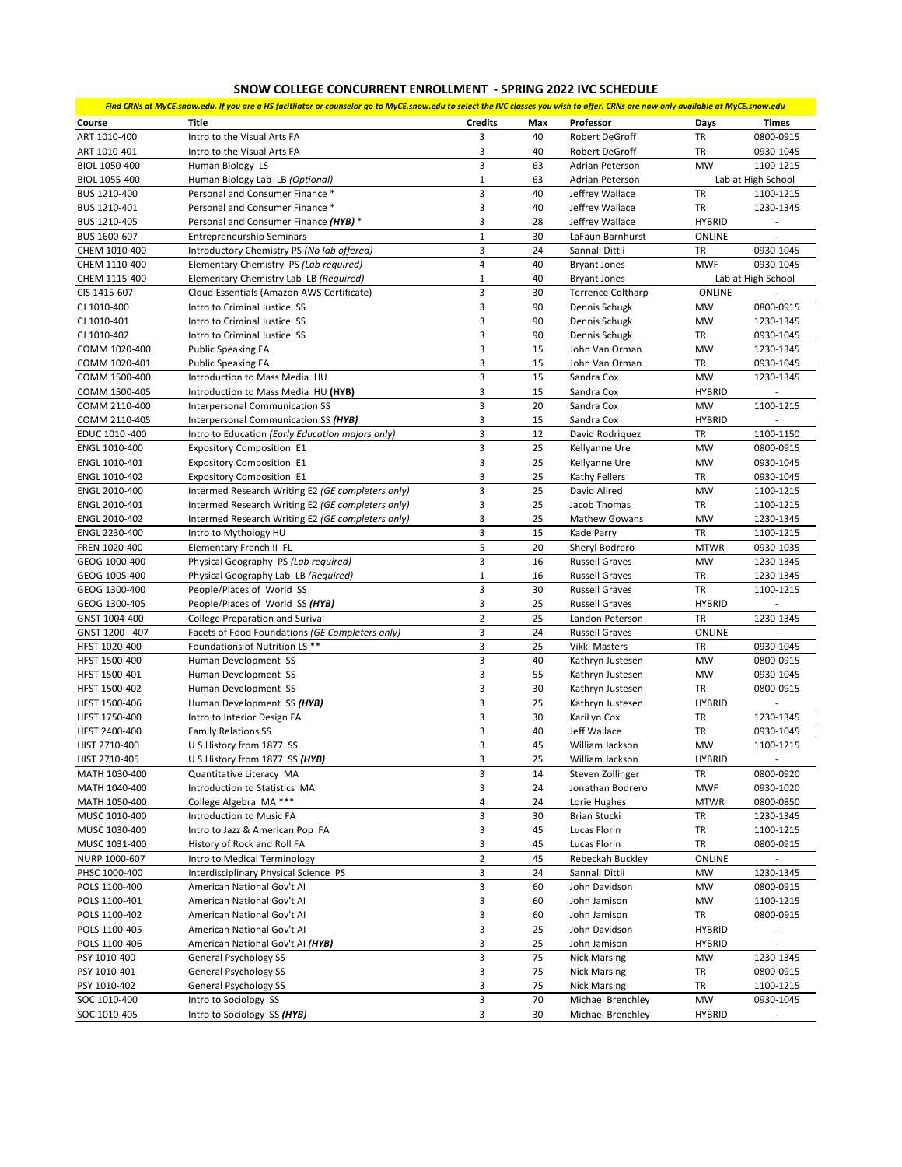## **SNOW COLLEGE CONCURRENT ENROLLMENT - SPRING 2022 IVC SCHEDULE**

*Find CRNs at MyCE.snow.edu. If you are a HS facitliator or counselor go to MyCE.snow.edu to select the IVC classes you wish to offer. CRNs are now only available at MyCE.snow.edu*

| Course          | Title                                             | <b>Credits</b>          | Max | Professor                | <b>Days</b>   | Times                    |
|-----------------|---------------------------------------------------|-------------------------|-----|--------------------------|---------------|--------------------------|
| ART 1010-400    | Intro to the Visual Arts FA                       | 3                       | 40  | Robert DeGroff           | TR            | 0800-0915                |
|                 |                                                   |                         |     |                          |               |                          |
| ART 1010-401    | Intro to the Visual Arts FA                       | 3                       | 40  | Robert DeGroff           | TR            | 0930-1045                |
| BIOL 1050-400   | Human Biology LS                                  | 3                       | 63  | Adrian Peterson          | <b>MW</b>     | 1100-1215                |
| BIOL 1055-400   | Human Biology Lab LB (Optional)                   | $\mathbf 1$             | 63  | Adrian Peterson          |               | Lab at High School       |
| BUS 1210-400    | Personal and Consumer Finance *                   | $\overline{3}$          | 40  | Jeffrey Wallace          | <b>TR</b>     | 1100-1215                |
| BUS 1210-401    | Personal and Consumer Finance *                   | 3                       | 40  | Jeffrey Wallace          | TR            | 1230-1345                |
| BUS 1210-405    | Personal and Consumer Finance (HYB) *             | 3                       | 28  | Jeffrey Wallace          | <b>HYBRID</b> | $\overline{\phantom{a}}$ |
| BUS 1600-607    | <b>Entrepreneurship Seminars</b>                  | $\mathbf 1$             | 30  | LaFaun Barnhurst         | ONLINE        |                          |
| CHEM 1010-400   | Introductory Chemistry PS (No lab offered)        | 3                       | 24  | Sannali Dittli           | TR            | 0930-1045                |
| CHEM 1110-400   | Elementary Chemistry PS (Lab required)            | $\overline{\mathbf{4}}$ | 40  | <b>Bryant Jones</b>      | <b>MWF</b>    | 0930-1045                |
| CHEM 1115-400   | Elementary Chemistry Lab LB (Required)            | $\mathbf{1}$            | 40  | <b>Bryant Jones</b>      |               | Lab at High School       |
| CIS 1415-607    | Cloud Essentials (Amazon AWS Certificate)         | 3                       | 30  | <b>Terrence Coltharp</b> | ONLINE        |                          |
| CJ 1010-400     | Intro to Criminal Justice SS                      | 3                       | 90  | Dennis Schugk            | MW            | 0800-0915                |
| CJ 1010-401     | Intro to Criminal Justice SS                      | 3                       | 90  | Dennis Schugk            | MW            | 1230-1345                |
| CJ 1010-402     | Intro to Criminal Justice SS                      | 3                       | 90  | Dennis Schugk            | TR            | 0930-1045                |
|                 |                                                   | 3                       | 15  | John Van Orman           | MW            |                          |
| COMM 1020-400   | <b>Public Speaking FA</b>                         |                         |     |                          |               | 1230-1345                |
| COMM 1020-401   | <b>Public Speaking FA</b>                         | 3                       | 15  | John Van Orman           | TR            | 0930-1045                |
| COMM 1500-400   | Introduction to Mass Media HU                     | 3                       | 15  | Sandra Cox               | MW            | 1230-1345                |
| COMM 1500-405   | Introduction to Mass Media HU (HYB)               | 3                       | 15  | Sandra Cox               | <b>HYBRID</b> |                          |
| COMM 2110-400   | <b>Interpersonal Communication SS</b>             | $\overline{3}$          | 20  | Sandra Cox               | <b>MW</b>     | 1100-1215                |
| COMM 2110-405   | Interpersonal Communication SS (HYB)              | 3                       | 15  | Sandra Cox               | <b>HYBRID</b> |                          |
| EDUC 1010 -400  | Intro to Education (Early Education majors only)  | 3                       | 12  | David Rodriguez          | TR            | 1100-1150                |
| ENGL 1010-400   | <b>Expository Composition E1</b>                  | 3                       | 25  | Kellyanne Ure            | MW            | 0800-0915                |
| ENGL 1010-401   | <b>Expository Composition E1</b>                  | 3                       | 25  | Kellyanne Ure            | <b>MW</b>     | 0930-1045                |
| ENGL 1010-402   | <b>Expository Composition E1</b>                  | 3                       | 25  | <b>Kathy Fellers</b>     | TR            | 0930-1045                |
| ENGL 2010-400   | Intermed Research Writing E2 (GE completers only) | 3                       | 25  | David Allred             | MW            | 1100-1215                |
| ENGL 2010-401   | Intermed Research Writing E2 (GE completers only) | 3                       | 25  | Jacob Thomas             | TR            | 1100-1215                |
| ENGL 2010-402   | Intermed Research Writing E2 (GE completers only) | 3                       | 25  | <b>Mathew Gowans</b>     | MW            | 1230-1345                |
| ENGL 2230-400   | Intro to Mythology HU                             | $\overline{3}$          | 15  | Kade Parry               | TR            | 1100-1215                |
| FREN 1020-400   | Elementary French II FL                           | 5                       | 20  | Sheryl Bodrero           | <b>MTWR</b>   | 0930-1035                |
| GEOG 1000-400   | Physical Geography PS (Lab required)              | 3                       | 16  | <b>Russell Graves</b>    | MW            | 1230-1345                |
| GEOG 1005-400   | Physical Geography Lab LB (Required)              | $\mathbf 1$             | 16  | <b>Russell Graves</b>    | TR            | 1230-1345                |
| GEOG 1300-400   | People/Places of World SS                         | 3                       | 30  | <b>Russell Graves</b>    | TR            | 1100-1215                |
| GEOG 1300-405   | People/Places of World SS (HYB)                   | 3                       | 25  | <b>Russell Graves</b>    | <b>HYBRID</b> |                          |
| GNST 1004-400   | <b>College Preparation and Surival</b>            | $\mathbf 2$             | 25  | Landon Peterson          | TR            | 1230-1345                |
| GNST 1200 - 407 | Facets of Food Foundations (GE Completers only)   | 3                       | 24  | <b>Russell Graves</b>    | <b>ONLINE</b> |                          |
| HFST 1020-400   | Foundations of Nutrition LS **                    | 3                       | 25  | Vikki Masters            | TR            | 0930-1045                |
| HFST 1500-400   | Human Development SS                              | 3                       | 40  | Kathryn Justesen         | MW            | 0800-0915                |
| HFST 1500-401   | Human Development SS                              | 3                       | 55  |                          | <b>MW</b>     | 0930-1045                |
|                 |                                                   |                         |     | Kathryn Justesen         |               |                          |
| HFST 1500-402   | Human Development SS                              | 3                       | 30  | Kathryn Justesen         | TR            | 0800-0915                |
| HFST 1500-406   | Human Development SS (HYB)                        | 3                       | 25  | Kathryn Justesen         | <b>HYBRID</b> |                          |
| HFST 1750-400   | Intro to Interior Design FA                       | 3                       | 30  | KariLyn Cox              | TR            | 1230-1345                |
| HFST 2400-400   | <b>Family Relations SS</b>                        | 3                       | 40  | Jeff Wallace             | TR            | 0930-1045                |
| HIST 2710-400   | U S History from 1877 SS                          | $\overline{3}$          | 45  | William Jackson          | <b>MW</b>     | 1100-1215                |
| HIST 2710-405   | U S History from 1877 SS (HYB)                    | 3                       | 25  | William Jackson          | <b>HYBRID</b> |                          |
| MATH 1030-400   | Quantitative Literacy MA                          | 3                       | 14  | Steven Zollinger         | TR            | 0800-0920                |
| MATH 1040-400   | Introduction to Statistics MA                     | 3                       | 24  | Jonathan Bodrero         | <b>MWF</b>    | 0930-1020                |
| MATH 1050-400   | College Algebra MA ***                            | 4                       | 24  | Lorie Hughes             | <b>MTWR</b>   | 0800-0850                |
| MUSC 1010-400   | Introduction to Music FA                          | 3                       | 30  | <b>Brian Stucki</b>      | TR            | 1230-1345                |
| MUSC 1030-400   | Intro to Jazz & American Pop FA                   | 3                       | 45  | Lucas Florin             | TR            | 1100-1215                |
| MUSC 1031-400   | History of Rock and Roll FA                       | 3                       | 45  | Lucas Florin             | TR            | 0800-0915                |
| NURP 1000-607   | Intro to Medical Terminology                      | $\overline{2}$          | 45  | Rebeckah Buckley         | <b>ONLINE</b> | $\overline{\phantom{a}}$ |
| PHSC 1000-400   | Interdisciplinary Physical Science PS             | 3                       | 24  | Sannali Dittli           | MW            | 1230-1345                |
| POLS 1100-400   | American National Gov't Al                        | 3                       | 60  | John Davidson            | MW            | 0800-0915                |
| POLS 1100-401   | American National Gov't AI                        | 3                       | 60  | John Jamison             | MW            | 1100-1215                |
| POLS 1100-402   | American National Gov't AI                        | 3                       | 60  | John Jamison             | TR            | 0800-0915                |
| POLS 1100-405   |                                                   | 3                       |     |                          |               |                          |
|                 | American National Gov't AI                        |                         | 25  | John Davidson            | <b>HYBRID</b> |                          |
| POLS 1100-406   | American National Gov't Al (HYB)                  | 3                       | 25  | John Jamison             | <b>HYBRID</b> |                          |
| PSY 1010-400    | General Psychology SS                             | 3                       | 75  | <b>Nick Marsing</b>      | MW            | 1230-1345                |
| PSY 1010-401    | General Psychology SS                             | 3                       | 75  | <b>Nick Marsing</b>      | TR            | 0800-0915                |
| PSY 1010-402    | General Psychology SS                             | 3                       | 75  | <b>Nick Marsing</b>      | TR            | 1100-1215                |
| SOC 1010-400    | Intro to Sociology SS                             | 3                       | 70  | Michael Brenchley        | MW            | 0930-1045                |
| SOC 1010-405    | Intro to Sociology SS (HYB)                       | з                       | 30  | Michael Brenchley        | <b>HYBRID</b> |                          |